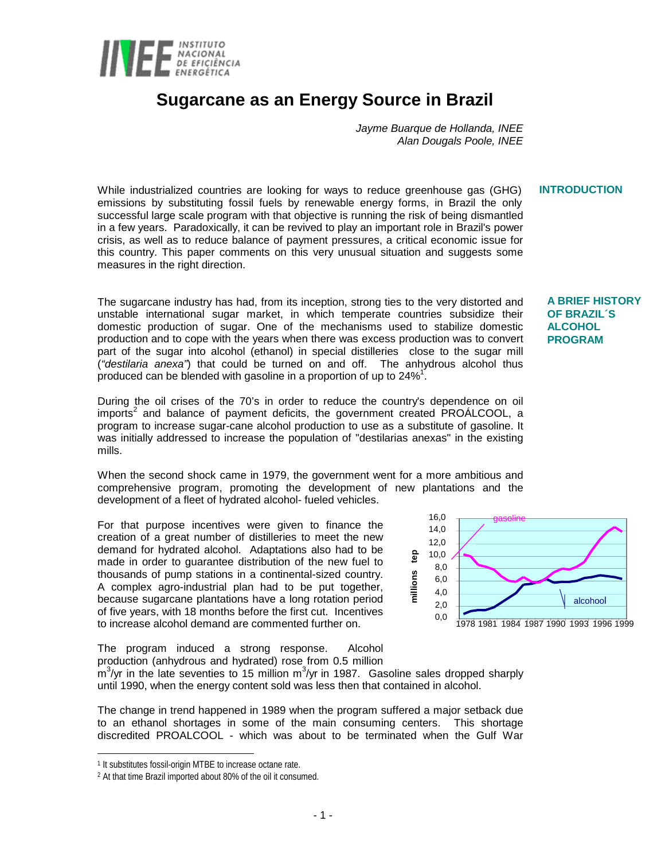

# **Sugarcane as an Energy Source in Brazil**

*Jayme Buarque de Hollanda, INEE Alan Dougals Poole, INEE*

While industrialized countries are looking for ways to reduce greenhouse gas (GHG) emissions by substituting fossil fuels by renewable energy forms, in Brazil the only successful large scale program with that objective is running the risk of being dismantled in a few years. Paradoxically, it can be revived to play an important role in Brazil's power crisis, as well as to reduce balance of payment pressures, a critical economic issue for this country. This paper comments on this very unusual situation and suggests some measures in the right direction. **INTRODUCTION**

The sugarcane industry has had, from its inception, strong ties to the very distorted and unstable international sugar market, in which temperate countries subsidize their domestic production of sugar. One of the mechanisms used to stabilize domestic production and to cope with the years when there was excess production was to convert part of the sugar into alcohol (ethanol) in special distilleries close to the sugar mill (*"destilaria anexa"*) that could be turned on and off. The anhydrous alcohol thus produced can be blended with gasoline in a proportion of up to 24%<sup>1</sup>.

During the oil crises of the 70's in order to reduce the country's dependence on oil imports<sup>2</sup> and balance of payment deficits, the government created PROÁLCOOL, a program to increase sugar-cane alcohol production to use as a substitute of gasoline. It was initially addressed to increase the population of "destilarias anexas" in the existing mills.

When the second shock came in 1979, the government went for a more ambitious and comprehensive program, promoting the development of new plantations and the development of a fleet of hydrated alcohol- fueled vehicles.

For that purpose incentives were given to finance the creation of a great number of distilleries to meet the new demand for hydrated alcohol. Adaptations also had to be made in order to guarantee distribution of the new fuel to thousands of pump stations in a continental-sized country. A complex agro-industrial plan had to be put together, because sugarcane plantations have a long rotation period of five years, with 18 months before the first cut. Incentives to increase alcohol demand are commented further on.

The program induced a strong response. Alcohol production (anhydrous and hydrated) rose from 0.5 million



**A BRIEF HISTORY OF BRAZIL´S ALCOHOL PROGRAM**

The change in trend happened in 1989 when the program suffered a major setback due to an ethanol shortages in some of the main consuming centers. This shortage discredited PROALCOOL - which was about to be terminated when the Gulf War

l

 $\sin^3$ /yr in the late seventies to 15 million m<sup>3</sup>/yr in 1987. Gasoline sales dropped sharply until 1990, when the energy content sold was less then that contained in alcohol.

<sup>1</sup> It substitutes fossil-origin MTBE to increase octane rate.

<sup>2</sup> At that time Brazil imported about 80% of the oil it consumed.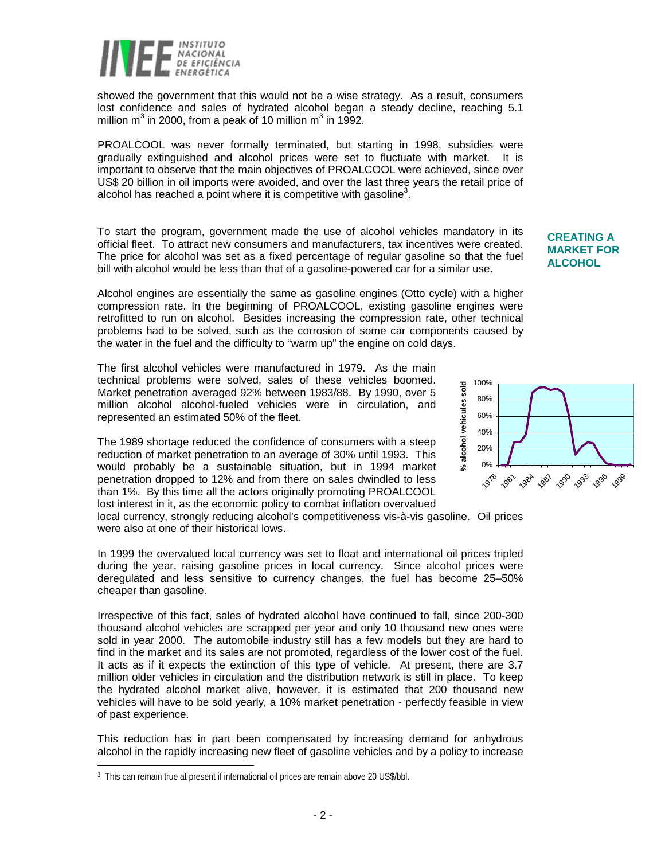

showed the government that this would not be a wise strategy. As a result, consumers lost confidence and sales of hydrated alcohol began a steady decline, reaching 5.1 million m<sup>3</sup> in 2000, from a peak of 10 million m<sup>3</sup> in 1992.

PROALCOOL was never formally terminated, but starting in 1998, subsidies were gradually extinguished and alcohol prices were set to fluctuate with market. It is important to observe that the main objectives of PROALCOOL were achieved, since over US\$ 20 billion in oil imports were avoided, and over the last three years the retail price of alcohol has reached a point where it is competitive with gasoline<sup>3</sup>.

To start the program, government made the use of alcohol vehicles mandatory in its official fleet. To attract new consumers and manufacturers, tax incentives were created. The price for alcohol was set as a fixed percentage of regular gasoline so that the fuel bill with alcohol would be less than that of a gasoline-powered car for a similar use.

Alcohol engines are essentially the same as gasoline engines (Otto cycle) with a higher compression rate. In the beginning of PROALCOOL, existing gasoline engines were retrofitted to run on alcohol. Besides increasing the compression rate, other technical problems had to be solved, such as the corrosion of some car components caused by the water in the fuel and the difficulty to "warm up" the engine on cold days.

The first alcohol vehicles were manufactured in 1979. As the main technical problems were solved, sales of these vehicles boomed. Market penetration averaged 92% between 1983/88. By 1990, over 5 million alcohol alcohol-fueled vehicles were in circulation, and represented an estimated 50% of the fleet.

The 1989 shortage reduced the confidence of consumers with a steep reduction of market penetration to an average of 30% until 1993. This would probably be a sustainable situation, but in 1994 market penetration dropped to 12% and from there on sales dwindled to less than 1%. By this time all the actors originally promoting PROALCOOL lost interest in it, as the economic policy to combat inflation overvalued

local currency, strongly reducing alcohol's competitiveness vis-à-vis gasoline. Oil prices were also at one of their historical lows.

In 1999 the overvalued local currency was set to float and international oil prices tripled during the year, raising gasoline prices in local currency. Since alcohol prices were deregulated and less sensitive to currency changes, the fuel has become 25–50% cheaper than gasoline.

Irrespective of this fact, sales of hydrated alcohol have continued to fall, since 200-300 thousand alcohol vehicles are scrapped per year and only 10 thousand new ones were sold in year 2000. The automobile industry still has a few models but they are hard to find in the market and its sales are not promoted, regardless of the lower cost of the fuel. It acts as if it expects the extinction of this type of vehicle. At present, there are 3.7 million older vehicles in circulation and the distribution network is still in place. To keep the hydrated alcohol market alive, however, it is estimated that 200 thousand new vehicles will have to be sold yearly, a 10% market penetration - perfectly feasible in view of past experience.

This reduction has in part been compensated by increasing demand for anhydrous alcohol in the rapidly increasing new fleet of gasoline vehicles and by a policy to increase

 $\overline{a}$ 

#### 100% % alcohol vehicules sold **% alcohol vehicules sold**80% 60% 40% 20% 0% 1978 1981 1982 1983 1986 1989

**CREATING A MARKET FOR ALCOHOL**

<sup>3</sup> This can remain true at present if international oil prices are remain above 20 US\$/bbl.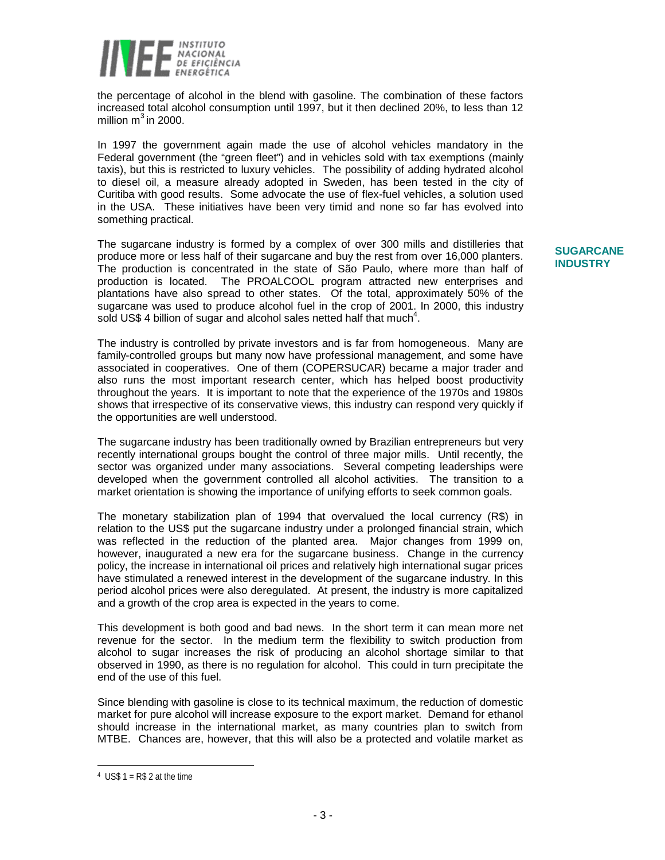

the percentage of alcohol in the blend with gasoline. The combination of these factors increased total alcohol consumption until 1997, but it then declined 20%, to less than 12 million  $m^3$  in 2000.

In 1997 the government again made the use of alcohol vehicles mandatory in the Federal government (the "green fleet") and in vehicles sold with tax exemptions (mainly taxis), but this is restricted to luxury vehicles. The possibility of adding hydrated alcohol to diesel oil, a measure already adopted in Sweden, has been tested in the city of Curitiba with good results. Some advocate the use of flex-fuel vehicles, a solution used in the USA. These initiatives have been very timid and none so far has evolved into something practical.

The sugarcane industry is formed by a complex of over 300 mills and distilleries that produce more or less half of their sugarcane and buy the rest from over 16,000 planters. The production is concentrated in the state of São Paulo, where more than half of production is located. The PROALCOOL program attracted new enterprises and plantations have also spread to other states. Of the total, approximately 50% of the sugarcane was used to produce alcohol fuel in the crop of 2001. In 2000, this industry sold US\$ 4 billion of sugar and alcohol sales netted half that much<sup>4</sup>.

The industry is controlled by private investors and is far from homogeneous. Many are family-controlled groups but many now have professional management, and some have associated in cooperatives. One of them (COPERSUCAR) became a major trader and also runs the most important research center, which has helped boost productivity throughout the years. It is important to note that the experience of the 1970s and 1980s shows that irrespective of its conservative views, this industry can respond very quickly if the opportunities are well understood.

The sugarcane industry has been traditionally owned by Brazilian entrepreneurs but very recently international groups bought the control of three major mills. Until recently, the sector was organized under many associations. Several competing leaderships were developed when the government controlled all alcohol activities. The transition to a market orientation is showing the importance of unifying efforts to seek common goals.

The monetary stabilization plan of 1994 that overvalued the local currency (R\$) in relation to the US\$ put the sugarcane industry under a prolonged financial strain, which was reflected in the reduction of the planted area. Major changes from 1999 on, however, inaugurated a new era for the sugarcane business. Change in the currency policy, the increase in international oil prices and relatively high international sugar prices have stimulated a renewed interest in the development of the sugarcane industry. In this period alcohol prices were also deregulated. At present, the industry is more capitalized and a growth of the crop area is expected in the years to come.

This development is both good and bad news. In the short term it can mean more net revenue for the sector. In the medium term the flexibility to switch production from alcohol to sugar increases the risk of producing an alcohol shortage similar to that observed in 1990, as there is no regulation for alcohol. This could in turn precipitate the end of the use of this fuel.

Since blending with gasoline is close to its technical maximum, the reduction of domestic market for pure alcohol will increase exposure to the export market. Demand for ethanol should increase in the international market, as many countries plan to switch from MTBE. Chances are, however, that this will also be a protected and volatile market as

# **SUGARCANE INDUSTRY**

 $\overline{a}$ 

 $4$  US\$ 1 = R\$ 2 at the time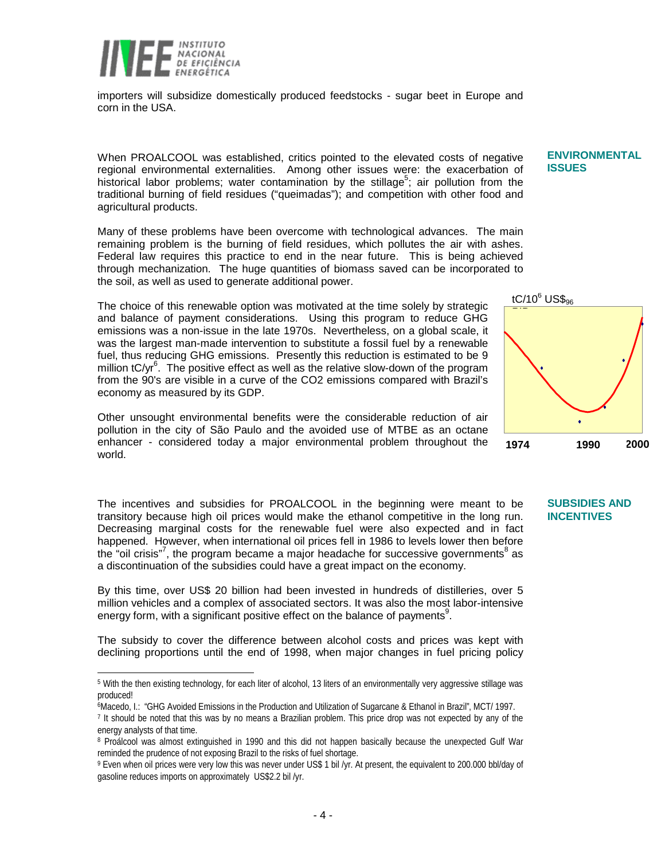

 $\overline{a}$ 

importers will subsidize domestically produced feedstocks - sugar beet in Europe and corn in the USA.

When PROALCOOL was established, critics pointed to the elevated costs of negative regional environmental externalities. Among other issues were: the exacerbation of historical labor problems; water contamination by the stillage<sup>5</sup>; air pollution from the traditional burning of field residues ("queimadas"); and competition with other food and agricultural products.

Many of these problems have been overcome with technological advances. The main remaining problem is the burning of field residues, which pollutes the air with ashes. Federal law requires this practice to end in the near future. This is being achieved through mechanization. The huge quantities of biomass saved can be incorporated to the soil, as well as used to generate additional power.

The choice of this renewable option was motivated at the time solely by strategic and balance of payment considerations. Using this program to reduce GHG emissions was a non-issue in the late 1970s. Nevertheless, on a global scale, it was the largest man-made intervention to substitute a fossil fuel by a renewable fuel, thus reducing GHG emissions. Presently this reduction is estimated to be 9 million  $tC/yr^6$ . The positive effect as well as the relative slow-down of the program from the 90's are visible in a curve of the CO2 emissions compared with Brazil's economy as measured by its GDP.

Other unsought environmental benefits were the considerable reduction of air pollution in the city of São Paulo and the avoided use of MTBE as an octane enhancer - considered today a major environmental problem throughout the world.

The incentives and subsidies for PROALCOOL in the beginning were meant to be transitory because high oil prices would make the ethanol competitive in the long run. Decreasing marginal costs for the renewable fuel were also expected and in fact happened. However, when international oil prices fell in 1986 to levels lower then before the "oil crisis"<sup>7</sup>, the program became a major headache for successive governments<sup>8</sup> as a discontinuation of the subsidies could have a great impact on the economy.

By this time, over US\$ 20 billion had been invested in hundreds of distilleries, over 5 million vehicles and a complex of associated sectors. It was also the most labor-intensive energy form, with a significant positive effect on the balance of payments<sup>9</sup>.

The subsidy to cover the difference between alcohol costs and prices was kept with declining proportions until the end of 1998, when major changes in fuel pricing policy

### **ENVIRONMENTAL ISSUES**



# **SUBSIDIES AND INCENTIVES**

<sup>5</sup> With the then existing technology, for each liter of alcohol, 13 liters of an environmentally very aggressive stillage was produced!

<sup>6</sup>Macedo, I.: "GHG Avoided Emissions in the Production and Utilization of Sugarcane & Ethanol in Brazil", MCT/ 1997.

<sup>7</sup> It should be noted that this was by no means a Brazilian problem. This price drop was not expected by any of the energy analysts of that time.

<sup>8</sup> Proálcool was almost extinguished in 1990 and this did not happen basically because the unexpected Gulf War reminded the prudence of not exposing Brazil to the risks of fuel shortage.

<sup>9</sup> Even when oil prices were very low this was never under US\$ 1 bil /yr. At present, the equivalent to 200.000 bbl/day of gasoline reduces imports on approximately US\$2.2 bil /yr.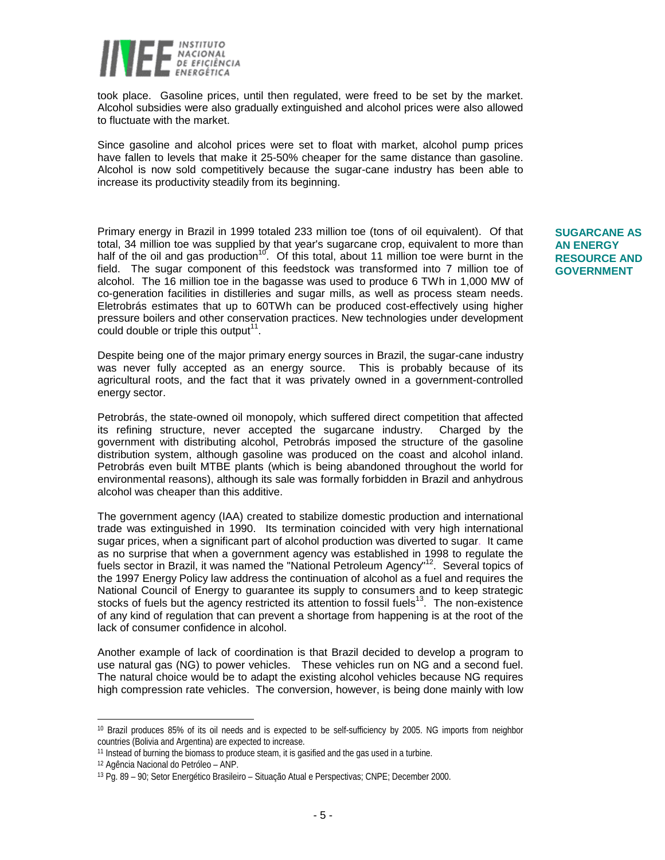

took place. Gasoline prices, until then regulated, were freed to be set by the market. Alcohol subsidies were also gradually extinguished and alcohol prices were also allowed to fluctuate with the market.

Since gasoline and alcohol prices were set to float with market, alcohol pump prices have fallen to levels that make it 25-50% cheaper for the same distance than gasoline. Alcohol is now sold competitively because the sugar-cane industry has been able to increase its productivity steadily from its beginning.

Primary energy in Brazil in 1999 totaled 233 million toe (tons of oil equivalent). Of that total, 34 million toe was supplied by that year's sugarcane crop, equivalent to more than half of the oil and gas production<sup>10</sup>. Of this total, about 11 million toe were burnt in the field. The sugar component of this feedstock was transformed into 7 million toe of alcohol. The 16 million toe in the bagasse was used to produce 6 TWh in 1,000 MW of co-generation facilities in distilleries and sugar mills, as well as process steam needs. Eletrobrás estimates that up to 60TWh can be produced cost-effectively using higher pressure boilers and other conservation practices. New technologies under development could double or triple this output<sup>11</sup>.

Despite being one of the major primary energy sources in Brazil, the sugar-cane industry was never fully accepted as an energy source. This is probably because of its agricultural roots, and the fact that it was privately owned in a government-controlled energy sector.

Petrobrás, the state-owned oil monopoly, which suffered direct competition that affected its refining structure, never accepted the sugarcane industry. Charged by the government with distributing alcohol, Petrobrás imposed the structure of the gasoline distribution system, although gasoline was produced on the coast and alcohol inland. Petrobrás even built MTBE plants (which is being abandoned throughout the world for environmental reasons), although its sale was formally forbidden in Brazil and anhydrous alcohol was cheaper than this additive.

The government agency (IAA) created to stabilize domestic production and international trade was extinguished in 1990. Its termination coincided with very high international sugar prices, when a significant part of alcohol production was diverted to sugar. It came as no surprise that when a government agency was established in 1998 to regulate the fuels sector in Brazil, it was named the "National Petroleum Agency"<sup>12</sup>. Several topics of the 1997 Energy Policy law address the continuation of alcohol as a fuel and requires the National Council of Energy to guarantee its supply to consumers and to keep strategic stocks of fuels but the agency restricted its attention to fossil fuels<sup>13</sup>. The non-existence of any kind of regulation that can prevent a shortage from happening is at the root of the lack of consumer confidence in alcohol.

Another example of lack of coordination is that Brazil decided to develop a program to use natural gas (NG) to power vehicles. These vehicles run on NG and a second fuel. The natural choice would be to adapt the existing alcohol vehicles because NG requires high compression rate vehicles. The conversion, however, is being done mainly with low

 $\overline{a}$ 

# **SUGARCANE AS AN ENERGY RESOURCE AND GOVERNMENT**

<sup>&</sup>lt;sup>10</sup> Brazil produces 85% of its oil needs and is expected to be self-sufficiency by 2005. NG imports from neighbor countries (Bolivia and Argentina) are expected to increase.

<sup>&</sup>lt;sup>11</sup> Instead of burning the biomass to produce steam, it is gasified and the gas used in a turbine.

<sup>12</sup> Agência Nacional do Petróleo – ANP.

<sup>13</sup> Pg. 89 – 90; Setor Energético Brasileiro – Situação Atual e Perspectivas; CNPE; December 2000.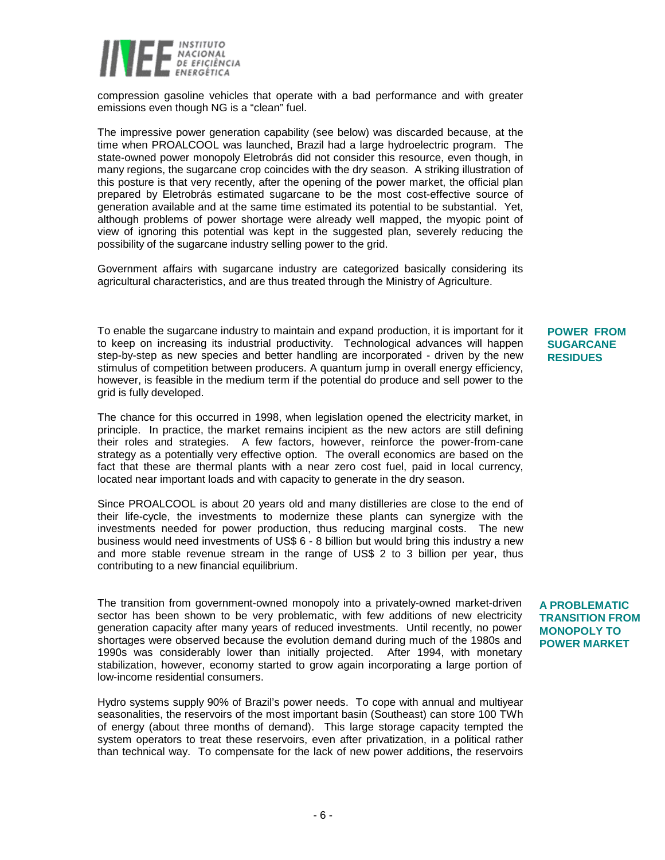

compression gasoline vehicles that operate with a bad performance and with greater emissions even though NG is a "clean" fuel.

The impressive power generation capability (see below) was discarded because, at the time when PROALCOOL was launched, Brazil had a large hydroelectric program. The state-owned power monopoly Eletrobrás did not consider this resource, even though, in many regions, the sugarcane crop coincides with the dry season. A striking illustration of this posture is that very recently, after the opening of the power market, the official plan prepared by Eletrobrás estimated sugarcane to be the most cost-effective source of generation available and at the same time estimated its potential to be substantial. Yet, although problems of power shortage were already well mapped, the myopic point of view of ignoring this potential was kept in the suggested plan, severely reducing the possibility of the sugarcane industry selling power to the grid.

Government affairs with sugarcane industry are categorized basically considering its agricultural characteristics, and are thus treated through the Ministry of Agriculture.

To enable the sugarcane industry to maintain and expand production, it is important for it to keep on increasing its industrial productivity. Technological advances will happen step-by-step as new species and better handling are incorporated - driven by the new stimulus of competition between producers. A quantum jump in overall energy efficiency, however, is feasible in the medium term if the potential do produce and sell power to the grid is fully developed.

The chance for this occurred in 1998, when legislation opened the electricity market, in principle. In practice, the market remains incipient as the new actors are still defining their roles and strategies. A few factors, however, reinforce the power-from-cane strategy as a potentially very effective option. The overall economics are based on the fact that these are thermal plants with a near zero cost fuel, paid in local currency, located near important loads and with capacity to generate in the dry season.

Since PROALCOOL is about 20 years old and many distilleries are close to the end of their life-cycle, the investments to modernize these plants can synergize with the investments needed for power production, thus reducing marginal costs. The new business would need investments of US\$ 6 - 8 billion but would bring this industry a new and more stable revenue stream in the range of US\$ 2 to 3 billion per year, thus contributing to a new financial equilibrium.

The transition from government-owned monopoly into a privately-owned market-driven sector has been shown to be very problematic, with few additions of new electricity generation capacity after many years of reduced investments. Until recently, no power shortages were observed because the evolution demand during much of the 1980s and 1990s was considerably lower than initially projected. After 1994, with monetary stabilization, however, economy started to grow again incorporating a large portion of low-income residential consumers.

Hydro systems supply 90% of Brazil's power needs. To cope with annual and multiyear seasonalities, the reservoirs of the most important basin (Southeast) can store 100 TWh of energy (about three months of demand). This large storage capacity tempted the system operators to treat these reservoirs, even after privatization, in a political rather than technical way. To compensate for the lack of new power additions, the reservoirs

## **POWER FROM SUGARCANE RESIDUES**

### **A PROBLEMATIC TRANSITION FROM MONOPOLY TO POWER MARKET**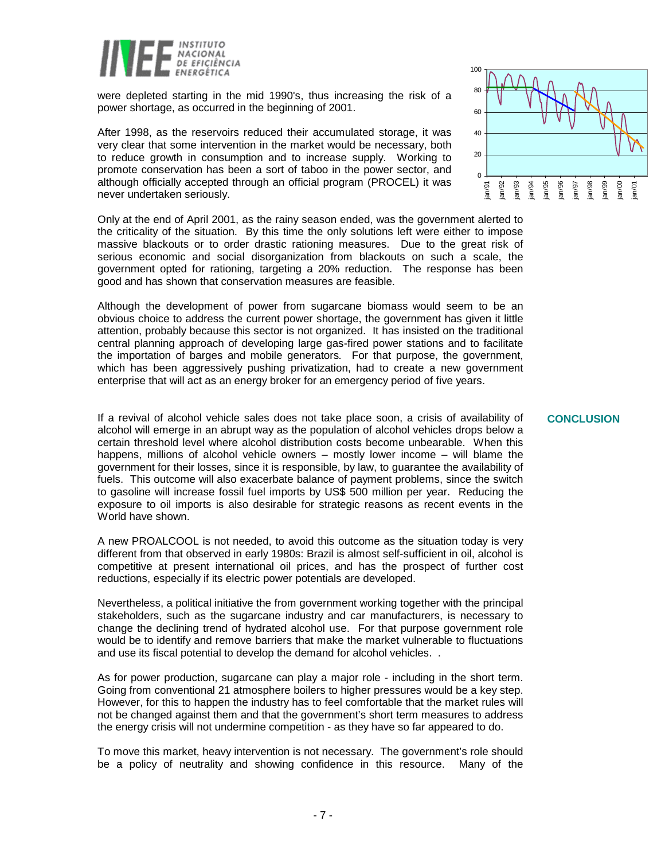

were depleted starting in the mid 1990's, thus increasing the risk of a power shortage, as occurred in the beginning of 2001.

After 1998, as the reservoirs reduced their accumulated storage, it was very clear that some intervention in the market would be necessary, both to reduce growth in consumption and to increase supply. Working to promote conservation has been a sort of taboo in the power sector, and although officially accepted through an official program (PROCEL) it was never undertaken seriously.

Only at the end of April 2001, as the rainy season ended, was the government alerted to the criticality of the situation. By this time the only solutions left were either to impose massive blackouts or to order drastic rationing measures. Due to the great risk of serious economic and social disorganization from blackouts on such a scale, the government opted for rationing, targeting a 20% reduction. The response has been good and has shown that conservation measures are feasible.

Although the development of power from sugarcane biomass would seem to be an obvious choice to address the current power shortage, the government has given it little attention, probably because this sector is not organized. It has insisted on the traditional central planning approach of developing large gas-fired power stations and to facilitate the importation of barges and mobile generators*.* For that purpose, the government, which has been aggressively pushing privatization, had to create a new government enterprise that will act as an energy broker for an emergency period of five years.

If a revival of alcohol vehicle sales does not take place soon, a crisis of availability of alcohol will emerge in an abrupt way as the population of alcohol vehicles drops below a certain threshold level where alcohol distribution costs become unbearable. When this happens, millions of alcohol vehicle owners – mostly lower income – will blame the government for their losses, since it is responsible, by law, to guarantee the availability of fuels. This outcome will also exacerbate balance of payment problems, since the switch to gasoline will increase fossil fuel imports by US\$ 500 million per year. Reducing the exposure to oil imports is also desirable for strategic reasons as recent events in the World have shown.

A new PROALCOOL is not needed, to avoid this outcome as the situation today is very different from that observed in early 1980s: Brazil is almost self-sufficient in oil, alcohol is competitive at present international oil prices, and has the prospect of further cost reductions, especially if its electric power potentials are developed.

Nevertheless, a political initiative the from government working together with the principal stakeholders, such as the sugarcane industry and car manufacturers, is necessary to change the declining trend of hydrated alcohol use. For that purpose government role would be to identify and remove barriers that make the market vulnerable to fluctuations and use its fiscal potential to develop the demand for alcohol vehicles. .

As for power production, sugarcane can play a major role - including in the short term. Going from conventional 21 atmosphere boilers to higher pressures would be a key step. However, for this to happen the industry has to feel comfortable that the market rules will not be changed against them and that the government's short term measures to address the energy crisis will not undermine competition - as they have so far appeared to do.

To move this market, heavy intervention is not necessary. The government's role should be a policy of neutrality and showing confidence in this resource. Many of the



#### **CONCLUSION**